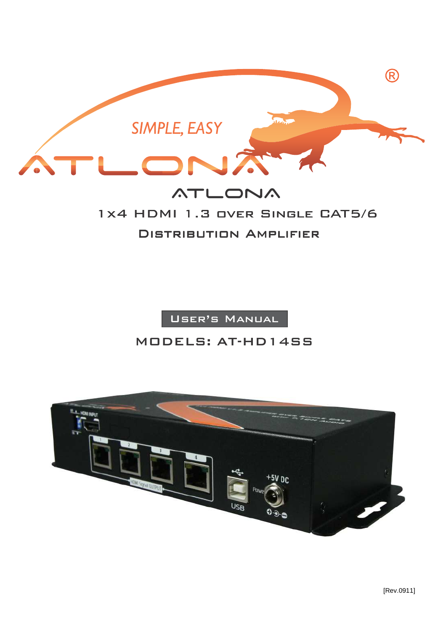

# **ATLONA** 1X4 HDMI 1.3 OVER SINGLE CAT5/6 Distribution Amplifier

User's Manual

## MODELS: AT-HD14SS

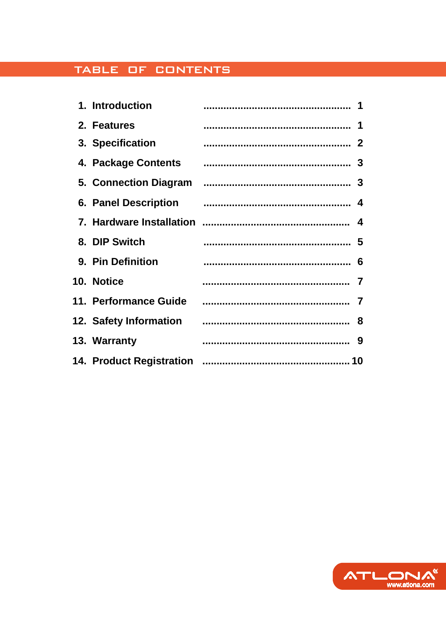## TABLE OF CONTENTS

| 1. Introduction        |   |
|------------------------|---|
| 2. Features            | 1 |
| 3. Specification       |   |
| 4. Package Contents    |   |
| 5. Connection Diagram  |   |
| 6. Panel Description   |   |
|                        |   |
| 8. DIP Switch          | 5 |
| 9. Pin Definition      |   |
| 10. Notice             | 7 |
| 11. Performance Guide  |   |
| 12. Safety Information | 8 |
|                        |   |
| 13. Warranty           |   |

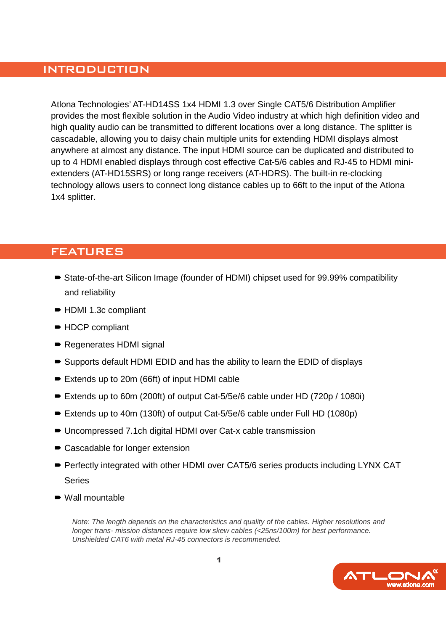### INTRODUCTION

Atlona Technologies' AT-HD14SS 1x4 HDMI 1.3 over Single CAT5/6 Distribution Amplifier provides the most flexible solution in the Audio Video industry at which high definition video and high quality audio can be transmitted to different locations over a long distance. The splitter is cascadable, allowing you to daisy chain multiple units for extending HDMI displays almost anywhere at almost any distance. The input HDMI source can be duplicated and distributed to up to 4 HDMI enabled displays through cost effective Cat-5/6 cables and RJ-45 to HDMI miniextenders (AT-HD15SRS) or long range receivers (AT-HDRS). The built-in re-clocking technology allows users to connect long distance cables up to 66ft to the input of the Atlona 1x4 splitter.

### FEATURES

- State-of-the-art Silicon Image (founder of HDMI) chipset used for 99.99% compatibility and reliability
- HDMI 1.3c compliant
- HDCP compliant
- Regenerates HDMI signal
- Supports default HDMI EDID and has the ability to learn the EDID of displays
- Extends up to 20m (66ft) of input HDMI cable
- Extends up to 60m (200ft) of output Cat-5/5e/6 cable under HD (720p / 1080i)
- Extends up to 40m (130ft) of output Cat-5/5e/6 cable under Full HD (1080p)
- Uncompressed 7.1ch digital HDMI over Cat-x cable transmission
- Cascadable for longer extension
- Perfectly integrated with other HDMI over CAT5/6 series products including LYNX CAT **Series**
- Wall mountable

Note: The length depends on the characteristics and quality of the cables. Higher resolutions and longer trans- mission distances require low skew cables (<25ns/100m) for best performance. Unshielded CAT6 with metal RJ-45 connectors is recommended.

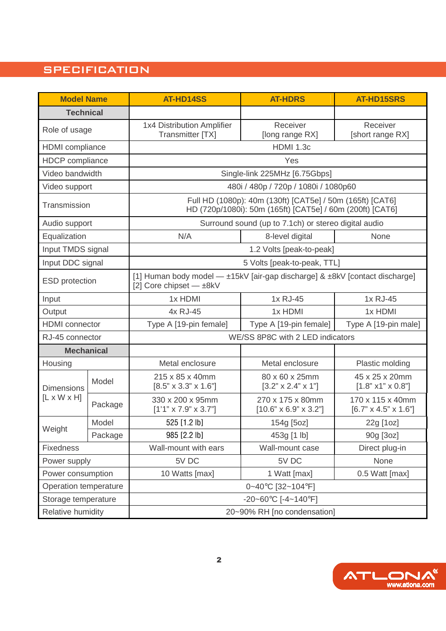## **SPECIFICATION**

| <b>Model Name</b>                            |         | <b>AT-HD14SS</b>                                                                                                       | <b>AT-HDRS</b>                                        | <b>AT-HD15SRS</b>                                    |  |  |
|----------------------------------------------|---------|------------------------------------------------------------------------------------------------------------------------|-------------------------------------------------------|------------------------------------------------------|--|--|
| <b>Technical</b>                             |         |                                                                                                                        |                                                       |                                                      |  |  |
| Role of usage                                |         | 1x4 Distribution Amplifier<br><b>Transmitter [TX]</b>                                                                  | Receiver<br>[long range RX]                           | Receiver<br>[short range RX]                         |  |  |
| <b>HDMI</b> compliance                       |         | <b>HDMI 1.3c</b>                                                                                                       |                                                       |                                                      |  |  |
| <b>HDCP</b> compliance                       |         | Yes                                                                                                                    |                                                       |                                                      |  |  |
| Video bandwidth                              |         | Single-link 225MHz [6.75Gbps]                                                                                          |                                                       |                                                      |  |  |
| Video support                                |         | 480i / 480p / 720p / 1080i / 1080p60                                                                                   |                                                       |                                                      |  |  |
| Transmission                                 |         | Full HD (1080p): 40m (130ft) [CAT5e] / 50m (165ft) [CAT6]<br>HD (720p/1080i): 50m (165ft) [CAT5e] / 60m (200ft) [CAT6] |                                                       |                                                      |  |  |
| Audio support                                |         | Surround sound (up to 7.1ch) or stereo digital audio                                                                   |                                                       |                                                      |  |  |
| Equalization                                 |         | N/A                                                                                                                    | 8-level digital<br>None                               |                                                      |  |  |
| Input TMDS signal                            |         | 1.2 Volts [peak-to-peak]                                                                                               |                                                       |                                                      |  |  |
| Input DDC signal                             |         |                                                                                                                        | 5 Volts [peak-to-peak, TTL]                           |                                                      |  |  |
| <b>ESD</b> protection                        |         | [1] Human body model — ±15kV [air-gap discharge] & ±8kV [contact discharge]<br>[2] Core chipset - ±8kV                 |                                                       |                                                      |  |  |
| Input                                        |         | 1x HDMI                                                                                                                | 1x RJ-45                                              | 1x RJ-45                                             |  |  |
| Output                                       |         | 4x RJ-45                                                                                                               | 1x HDMI<br>1x HDMI                                    |                                                      |  |  |
| <b>HDMI</b> connector                        |         | Type A [19-pin female]                                                                                                 | Type A [19-pin female]<br>Type A [19-pin male]        |                                                      |  |  |
| RJ-45 connector                              |         | WE/SS 8P8C with 2 LED indicators                                                                                       |                                                       |                                                      |  |  |
| <b>Mechanical</b>                            |         |                                                                                                                        |                                                       |                                                      |  |  |
| Housing                                      |         | Metal enclosure                                                                                                        | Metal enclosure                                       | Plastic molding                                      |  |  |
| <b>Dimensions</b><br>$[L \times W \times H]$ | Model   | 215 x 85 x 40mm<br>$[8.5" \times 3.3" \times 1.6"]$                                                                    | 80 x 60 x 25mm<br>$[3.2" \times 2.4" \times 1"]$      | 45 x 25 x 20mm<br>$[1.8" \times 1" \times 0.8"]$     |  |  |
|                                              | Package | 330 x 200 x 95mm<br>$[1'1" \times 7.9" \times 3.7"]$                                                                   | 270 x 175 x 80mm<br>$[10.6" \times 6.9" \times 3.2"]$ | 170 x 115 x 40mm<br>$[6.7" \times 4.5" \times 1.6"]$ |  |  |
|                                              | Model   | 525 [1.2 lb]                                                                                                           | 154g [5oz]                                            | 22g [1oz]                                            |  |  |
| Weight                                       | Package | 985 [2.2 lb]                                                                                                           | 453g [1 lb]                                           | 90g [3oz]                                            |  |  |
| <b>Fixedness</b>                             |         | Wall-mount with ears                                                                                                   | Wall-mount case                                       | Direct plug-in                                       |  |  |
| Power supply                                 |         | 5V DC                                                                                                                  | 5V DC                                                 | None                                                 |  |  |
| Power consumption                            |         | 0.5 Watt [max]<br>10 Watts [max]<br>1 Watt [max]                                                                       |                                                       |                                                      |  |  |
| Operation temperature                        |         | 0~40°C [32~104°F]                                                                                                      |                                                       |                                                      |  |  |
| Storage temperature                          |         | -20~60°C [-4~140°F]                                                                                                    |                                                       |                                                      |  |  |
| Relative humidity                            |         | 20~90% RH [no condensation]                                                                                            |                                                       |                                                      |  |  |

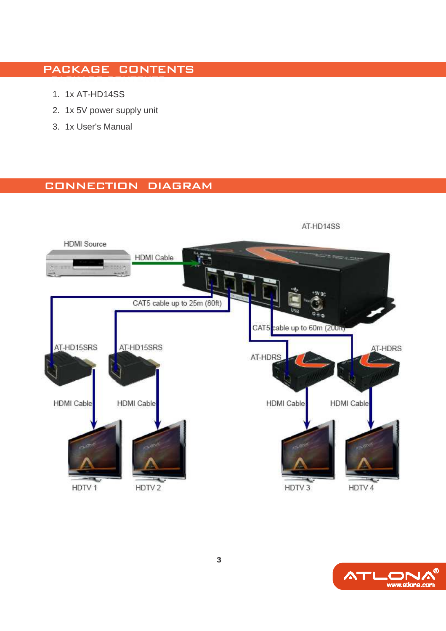#### PACKAGE CONTENTS PACKAGE CONTENTS

- 1. 1x AT-HD14SS
- 2. 1x 5V power supply unit
- 3. 1x User's Manual

## CONNECTION DIAGRAM



**ATLONA**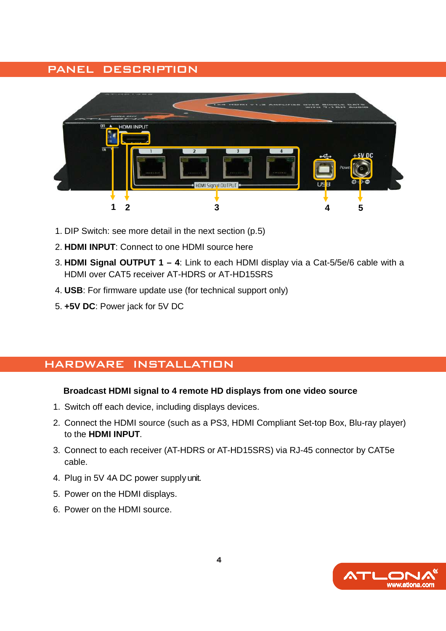## PANEL DESCRIPTION



- 1. DIP Switch: see more detail in the next section (p.5)
- 2. **HDMI INPUT**: Connect to one HDMI source here
- 3. **HDMI Signal OUTPUT 1 4**: Link to each HDMI display via a Cat-5/5e/6 cable with a HDMI over CAT5 receiver AT-HDRS or AT-HD15SRS
- 4. **USB**: For firmware update use (for technical support only)
- 5. **+5V DC**: Power jack for 5V DC

## HARDWARE INSTALLATION

#### **Broadcast HDMI signal to 4 remote HD displays from one video source**

- 1. Switch off each device, including displays devices.
- 2. Connect the HDMI source (such as a PS3, HDMI Compliant Set-top Box, Blu-ray player) to the **HDMI INPUT**.
- 3. Connect to each receiver (AT-HDRS or AT-HD15SRS) via RJ-45 connector by CAT5e cable.
- 4. Plug in 5V 4A DC power supply unit.
- 5. Power on the HDMI displays.
- 6. Power on the HDMI source.

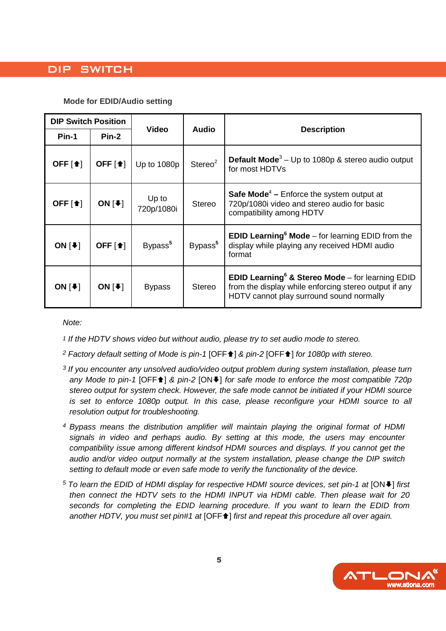## DIP SWITCH

#### **Mode for EDID/Audio setting**

| <b>DIP Switch Position</b>      |                                 |                              |                     | <b>Description</b>                                                                                                                                                          |  |
|---------------------------------|---------------------------------|------------------------------|---------------------|-----------------------------------------------------------------------------------------------------------------------------------------------------------------------------|--|
| Pin-1                           | $Pin-2$                         | <b>Video</b><br><b>Audio</b> |                     |                                                                                                                                                                             |  |
| OFF $[4]$                       | OFF $[\triangle]$               | Up to 1080p                  | Stereo <sup>2</sup> | <b>Default Mode</b> <sup>3</sup> – Up to 1080p & stereo audio output<br>for most HDTVs                                                                                      |  |
| OFF $\lceil \cdot \cdot \rceil$ | ON $[4]$                        | Up to<br>720p/1080i          | <b>Stereo</b>       | <b>Safe Mode<sup>4</sup></b> – Enforce the system output at<br>720p/1080i video and stereo audio for basic<br>compatibility among HDTV                                      |  |
| ON $[4]$                        | OFF $\lceil \cdot \cdot \rceil$ | Bypass <sup>5</sup>          | Bypass <sup>5</sup> | <b>EDID Learning<sup>6</sup> Mode</b> – for learning EDID from the<br>display while playing any received HDMI audio<br>format                                               |  |
| ON $[\blacktriangleright]$      | ON $[\cdot]$                    | <b>Bypass</b>                | <b>Stereo</b>       | <b>EDID Learning<sup>6</sup> &amp; Stereo Mode</b> – for learning EDID<br>from the display while enforcing stereo output if any<br>HDTV cannot play surround sound normally |  |

Note:

- 1 If the HDTV shows video but without audio, please try to set audio mode to stereo.
- <sup>2</sup> Factory default setting of Mode is pin-1 [OFF<sup>★</sup>] & pin-2 [OFF<sup>★</sup>] for 1080p with stereo.
- <sup>3</sup> If you encounter any unsolved audio/video output problem during system installation, please turn any Mode to pin-1 [OFF↑] & pin-2 [ON♦] for safe mode to enforce the most compatible 720p stereo output for system check. However, the safe mode cannot be initiated if your HDMI source is set to enforce 1080p output. In this case, please reconfigure your HDMI source to all resolution output for troubleshooting.
- <sup>4</sup>Bypass means the distribution amplifier will maintain playing the original format of HDMI signals in video and perhaps audio. By setting at this mode, the users may encounter compatibility issue among different kindsof HDMI sources and displays. If you cannot get the audio and/or video output normally at the system installation, please change the DIP switch setting to default mode or even safe mode to verify the functionality of the device.
- $5$  To learn the EDID of HDMI display for respective HDMI source devices, set pin-1 at [ON $\blacktriangleright$ ] first then connect the HDTV sets to the HDMI INPUT via HDMI cable. Then please wait for 20 seconds for completing the EDID learning procedure. If you want to learn the EDID from another HDTV, you must set pin#1 at [OFF<sup>4</sup>] first and repeat this procedure all over again.

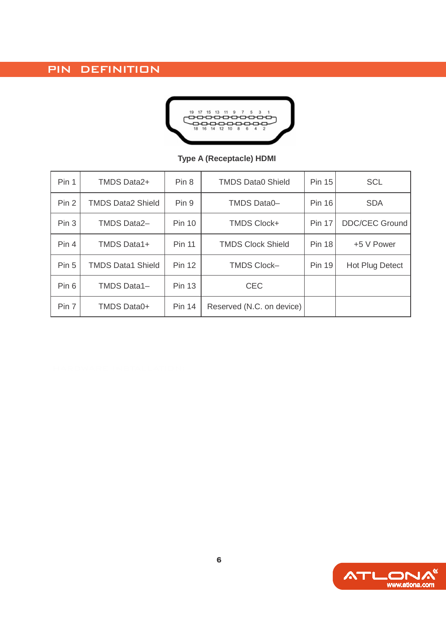PIN DEFINITION



### **Type A (Receptacle) HDMI**

| Pin 1            | <b>TMDS Data2+</b>       | Pin <sub>8</sub> | <b>TMDS Data0 Shield</b>  | <b>Pin 15</b> | <b>SCL</b>             |
|------------------|--------------------------|------------------|---------------------------|---------------|------------------------|
| Pin <sub>2</sub> | <b>TMDS Data2 Shield</b> | Pin 9            | <b>TMDS Data0-</b>        |               | <b>SDA</b>             |
| Pin <sub>3</sub> | <b>TMDS Data2-</b>       | <b>Pin 10</b>    | <b>TMDS Clock+</b>        | <b>Pin 17</b> | <b>DDC/CEC Ground</b>  |
| Pin 4            | <b>TMDS Data1+</b>       | <b>Pin 11</b>    | <b>TMDS Clock Shield</b>  | <b>Pin 18</b> | +5 V Power             |
| Pin 5            | <b>TMDS Data1 Shield</b> | <b>Pin 12</b>    | <b>TMDS Clock-</b>        |               | <b>Hot Plug Detect</b> |
| Pin 6            | <b>TMDS Data1-</b>       | <b>Pin 13</b>    | <b>CEC</b>                |               |                        |
| Pin 7            | TMDS Data0+              | <b>Pin 14</b>    | Reserved (N.C. on device) |               |                        |

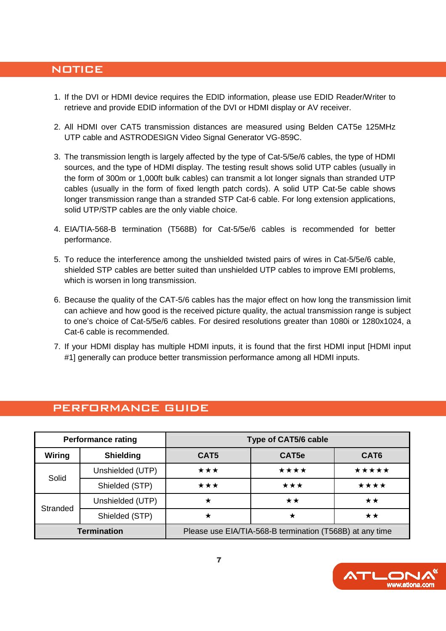#### **NOTICE**

- 1. If the DVI or HDMI device requires the EDID information, please use EDID Reader/Writer to retrieve and provide EDID information of the DVI or HDMI display or AV receiver.
- 2. All HDMI over CAT5 transmission distances are measured using Belden CAT5e 125MHz UTP cable and ASTRODESIGN Video Signal Generator VG-859C.
- 3. The transmission length is largely affected by the type of Cat-5/5e/6 cables, the type of HDMI sources, and the type of HDMI display. The testing result shows solid UTP cables (usually in the form of 300m or 1,000ft bulk cables) can transmit a lot longer signals than stranded UTP cables (usually in the form of fixed length patch cords). A solid UTP Cat-5e cable shows longer transmission range than a stranded STP Cat-6 cable. For long extension applications, solid UTP/STP cables are the only viable choice.
- 4. EIA/TIA-568-B termination (T568B) for Cat-5/5e/6 cables is recommended for better performance.
- 5. To reduce the interference among the unshielded twisted pairs of wires in Cat-5/5e/6 cable, shielded STP cables are better suited than unshielded UTP cables to improve EMI problems, which is worsen in long transmission.
- 6. Because the quality of the CAT-5/6 cables has the major effect on how long the transmission limit can achieve and how good is the received picture quality, the actual transmission range is subject to one's choice of Cat-5/5e/6 cables. For desired resolutions greater than 1080i or 1280x1024, a Cat-6 cable is recommended.
- 7. If your HDMI display has multiple HDMI inputs, it is found that the first HDMI input [HDMI input #1] generally can produce better transmission performance among all HDMI inputs.

|                    | <b>Performance rating</b> | <b>Type of CAT5/6 cable</b>                              |                   |                  |  |
|--------------------|---------------------------|----------------------------------------------------------|-------------------|------------------|--|
| Wiring             | <b>Shielding</b>          | CAT5                                                     | CAT <sub>5e</sub> | CAT <sub>6</sub> |  |
| Solid              | Unshielded (UTP)          | ***                                                      | ****              | *****            |  |
|                    | Shielded (STP)            | ★★★                                                      | ***               | ****             |  |
| Stranded           | Unshielded (UTP)          | ★                                                        | $\star\star$      | $\star\star$     |  |
|                    | Shielded (STP)            | ★                                                        |                   | **               |  |
| <b>Termination</b> |                           | Please use EIA/TIA-568-B termination (T568B) at any time |                   |                  |  |

### PERFORMANCE GUIDE

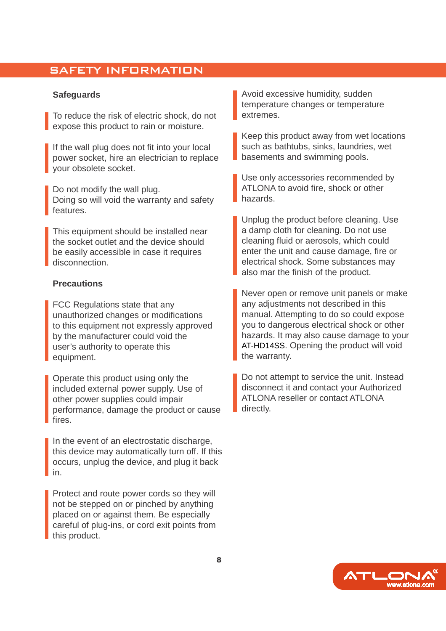### SAFETY INFORMATION

#### **Safeguards**

To reduce the risk of electric shock, do not expose this product to rain or moisture.

If the wall plug does not fit into your local power socket, hire an electrician to replace your obsolete socket.

Do not modify the wall plug. Doing so will void the warranty and safety features.

This equipment should be installed near the socket outlet and the device should be easily accessible in case it requires disconnection.

#### **Precautions**

FCC Regulations state that any unauthorized changes or modifications to this equipment not expressly approved by the manufacturer could void the user's authority to operate this equipment.

Operate this product using only the included external power supply. Use of other power supplies could impair performance, damage the product or cause fires.

In the event of an electrostatic discharge, this device may automatically turn off. If this occurs, unplug the device, and plug it back in.

Protect and route power cords so they will not be stepped on or pinched by anything placed on or against them. Be especially careful of plug-ins, or cord exit points from this product.

Avoid excessive humidity, sudden temperature changes or temperature extremes.

Keep this product away from wet locations such as bathtubs, sinks, laundries, wet basements and swimming pools.

Use only accessories recommended by ATLONA to avoid fire, shock or other hazards.

Unplug the product before cleaning. Use a damp cloth for cleaning. Do not use cleaning fluid or aerosols, which could enter the unit and cause damage, fire or electrical shock. Some substances may also mar the finish of the product.

Never open or remove unit panels or make any adjustments not described in this manual. Attempting to do so could expose you to dangerous electrical shock or other hazards. It may also cause damage to your AT-HD14SS. Opening the product will void the warranty.

Do not attempt to service the unit. Instead disconnect it and contact your Authorized ATLONA reseller or contact ATLONA directly.

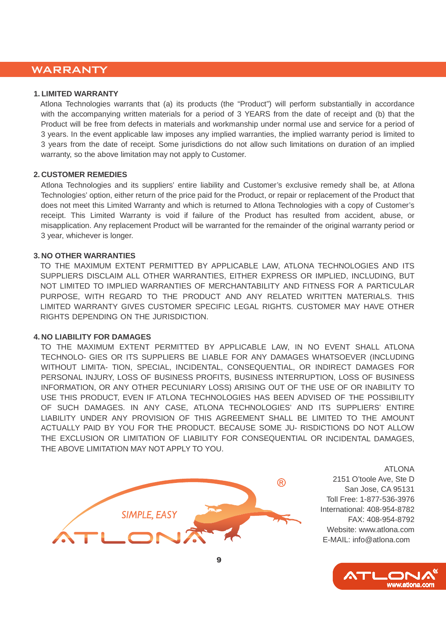### WARRANTY

#### **1. LIMITED WARRANTY**

Atlona Technologies warrants that (a) its products (the "Product") will perform substantially in accordance with the accompanying written materials for a period of 3 YEARS from the date of receipt and (b) that the Product will be free from defects in materials and workmanship under normal use and service for a period of 3 years. In the event applicable law imposes any implied warranties, the implied warranty period is limited to 3 years from the date of receipt. Some jurisdictions do not allow such limitations on duration of an implied warranty, so the above limitation may not apply to Customer.

#### **2. CUSTOMER REMEDIES**

Atlona Technologies and its suppliers' entire liability and Customer's exclusive remedy shall be, at Atlona Technologies' option, either return of the price paid for the Product, or repair or replacement of the Product that does not meet this Limited Warranty and which is returned to Atlona Technologies with a copy of Customer's receipt. This Limited Warranty is void if failure of the Product has resulted from accident, abuse, or misapplication. Any replacement Product will be warranted for the remainder of the original warranty period or 3 year, whichever is longer.

#### **3. NO OTHER WARRANTIES**

TO THE MAXIMUM EXTENT PERMITTED BY APPLICABLE LAW, ATLONA TECHNOLOGIES AND ITS SUPPLIERS DISCLAIM ALL OTHER WARRANTIES, EITHER EXPRESS OR IMPLIED, INCLUDING, BUT NOT LIMITED TO IMPLIED WARRANTIES OF MERCHANTABILITY AND FITNESS FOR A PARTICULAR PURPOSE, WITH REGARD TO THE PRODUCT AND ANY RELATED WRITTEN MATERIALS. THIS LIMITED WARRANTY GIVES CUSTOMER SPECIFIC LEGAL RIGHTS. CUSTOMER MAY HAVE OTHER RIGHTS DEPENDING ON THE JURISDICTION.

#### **4. NO LIABILITY FOR DAMAGES**

TO THE MAXIMUM EXTENT PERMITTED BY APPLICABLE LAW, IN NO EVENT SHALL ATLONA TECHNOLO- GIES OR ITS SUPPLIERS BE LIABLE FOR ANY DAMAGES WHATSOEVER (INCLUDING WITHOUT LIMITA- TION, SPECIAL, INCIDENTAL, CONSEQUENTIAL, OR INDIRECT DAMAGES FOR PERSONAL INJURY, LOSS OF BUSINESS PROFITS, BUSINESS INTERRUPTION, LOSS OF BUSINESS INFORMATION, OR ANY OTHER PECUNIARY LOSS) ARISING OUT OF THE USE OF OR INABILITY TO USE THIS PRODUCT, EVEN IF ATLONA TECHNOLOGIES HAS BEEN ADVISED OF THE POSSIBILITY OF SUCH DAMAGES. IN ANY CASE, ATLONA TECHNOLOGIES' AND ITS SUPPLIERS' ENTIRE LIABILITY UNDER ANY PROVISION OF THIS AGREEMENT SHALL BE LIMITED TO THE AMOUNT ACTUALLY PAID BY YOU FOR THE PRODUCT. BECAUSE SOME JU- RISDICTIONS DO NOT ALLOW THE EXCLUSION OR LIMITATION OF LIABILITY FOR CONSEQUENTIAL OR INCIDENTAL DAMAGES, THE ABOVE LIMITATION MAY NOT APPLY TO YOU.



ATLONA 2151 O'toole Ave, Ste D San Jose, CA 95131 Toll Free: 1-877-536-3976 International: 408-954-8782 FAX: 408-954-8792 Website: www.atlona.com E-MAIL: info@atlona.com